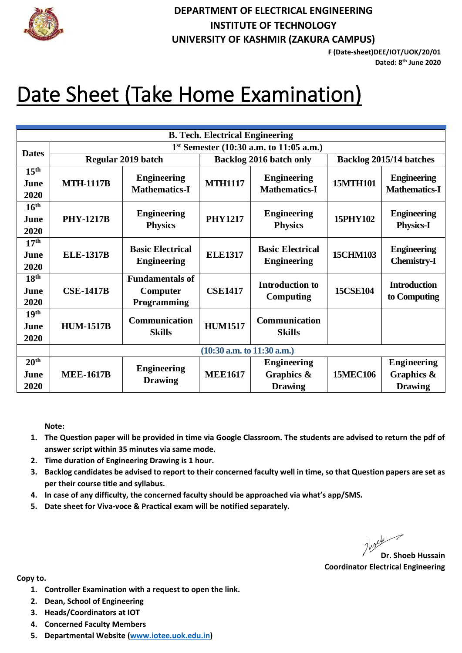

## **DEPARTMENT OF ELECTRICAL ENGINEERING INSTITUTE OF TECHNOLOGY UNIVERSITY OF KASHMIR (ZAKURA CAMPUS)**

**F (Date-sheet)DEE/IOT/UOK/20/01 Dated: 8 th June 2020**

## Date Sheet (Take Home Examination)

| <b>B. Tech. Electrical Engineering</b> |                                           |                         |                                |                         |                         |                      |  |  |  |  |
|----------------------------------------|-------------------------------------------|-------------------------|--------------------------------|-------------------------|-------------------------|----------------------|--|--|--|--|
| <b>Dates</b>                           | $1st$ Semester (10:30 a.m. to 11:05 a.m.) |                         |                                |                         |                         |                      |  |  |  |  |
|                                        | Regular 2019 batch                        |                         | <b>Backlog 2016 batch only</b> |                         | Backlog 2015/14 batches |                      |  |  |  |  |
| 15 <sup>th</sup>                       |                                           | <b>Engineering</b>      |                                | <b>Engineering</b>      |                         | <b>Engineering</b>   |  |  |  |  |
| June                                   | <b>MTH-1117B</b>                          | <b>Mathematics-I</b>    | <b>MTH1117</b>                 | <b>Mathematics-I</b>    | <b>15MTH101</b>         | <b>Mathematics-I</b> |  |  |  |  |
| 2020                                   |                                           |                         |                                |                         |                         |                      |  |  |  |  |
| 16 <sup>th</sup>                       |                                           |                         |                                |                         |                         |                      |  |  |  |  |
| June                                   | <b>PHY-1217B</b>                          | <b>Engineering</b>      | <b>PHY1217</b>                 | <b>Engineering</b>      | 15PHY102                | <b>Engineering</b>   |  |  |  |  |
| 2020                                   |                                           | <b>Physics</b>          |                                | <b>Physics</b>          |                         | <b>Physics-I</b>     |  |  |  |  |
| 17 <sup>th</sup>                       |                                           |                         |                                |                         |                         |                      |  |  |  |  |
| June                                   | <b>ELE-1317B</b>                          | <b>Basic Electrical</b> | <b>ELE1317</b>                 | <b>Basic Electrical</b> | <b>15CHM103</b>         | <b>Engineering</b>   |  |  |  |  |
| 2020                                   |                                           | <b>Engineering</b>      |                                | <b>Engineering</b>      |                         | <b>Chemistry-I</b>   |  |  |  |  |
| 18 <sup>th</sup>                       |                                           | <b>Fundamentals of</b>  |                                |                         |                         |                      |  |  |  |  |
| June                                   | <b>CSE-1417B</b>                          | Computer                | <b>CSE1417</b>                 | <b>Introduction to</b>  | <b>15CSE104</b>         | <b>Introduction</b>  |  |  |  |  |
| 2020                                   |                                           | Programming             |                                | Computing               |                         | to Computing         |  |  |  |  |
| 19 <sup>th</sup>                       |                                           |                         |                                | Communication           |                         |                      |  |  |  |  |
| June                                   | <b>HUM-1517B</b>                          | <b>Communication</b>    | <b>HUM1517</b>                 |                         |                         |                      |  |  |  |  |
| 2020                                   |                                           | <b>Skills</b>           |                                | <b>Skills</b>           |                         |                      |  |  |  |  |
|                                        | $(10:30$ a.m. to $11:30$ a.m.)            |                         |                                |                         |                         |                      |  |  |  |  |
| 20 <sup>th</sup>                       |                                           |                         |                                | <b>Engineering</b>      |                         | <b>Engineering</b>   |  |  |  |  |
| June                                   | <b>MEE-1617B</b>                          | <b>Engineering</b>      | <b>MEE1617</b>                 | Graphics &              | <b>15MEC106</b>         | Graphics &           |  |  |  |  |
| 2020                                   |                                           | <b>Drawing</b>          |                                | <b>Drawing</b>          |                         | <b>Drawing</b>       |  |  |  |  |

**Note:** 

- **1. The Question paper will be provided in time via Google Classroom. The students are advised to return the pdf of answer script within 35 minutes via same mode.**
- **2. Time duration of Engineering Drawing is 1 hour.**
- **3. Backlog candidates be advised to report to their concerned faculty well in time, so that Question papers are set as per their course title and syllabus.**
- **4. In case of any difficulty, the concerned faculty should be approached via what's app/SMS.**
- **5. Date sheet for Viva-voce & Practical exam will be notified separately.**

**Dr. Shoeb Hussain**

**Coordinator Electrical Engineering**

**Copy to.** 

- **1. Controller Examination with a request to open the link.**
- **2. Dean, School of Engineering**
- **3. Heads/Coordinators at IOT**
- **4. Concerned Faculty Members**
- **5. Departmental Website [\(www.iotee.uok.edu.in\)](http://www.iotee.uok.edu.in/)**